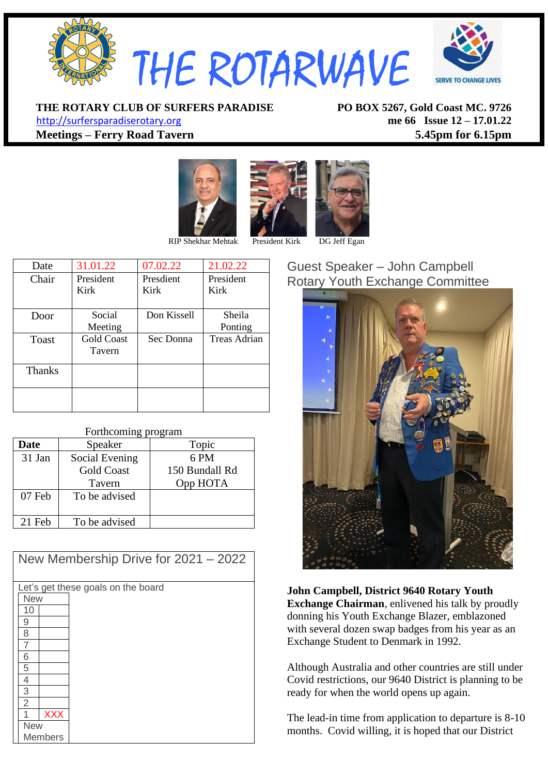

**ERVE TO CHANGE LIVES** 

**THE ROTARY CLUB OF SURFERS PARADISE PO BOX 5267, Gold Coast MC. 9726**

[http://surfersparadiserotary.org](http://surfersparadiserotary.org/) **me 66 Issue 12 – 17.01.22 Meetings – Ferry Road Tavern 5.45pm for 6.15pm**







| Date          | 31.01.22          | 07.02.22    | 21.02.22     |
|---------------|-------------------|-------------|--------------|
| Chair         | President         | Presdient   | President    |
|               | Kirk              | Kirk        | Kirk         |
|               |                   |             |              |
| Door          | Social            | Don Kissell | Sheila       |
|               | Meeting           |             | Ponting      |
| Toast         | <b>Gold Coast</b> | Sec Donna   | Treas Adrian |
|               | Tavern            |             |              |
|               |                   |             |              |
| <b>Thanks</b> |                   |             |              |
|               |                   |             |              |
|               |                   |             |              |
|               |                   |             |              |
|               |                   |             |              |

#### Forthcoming program

| Date     | Speaker           | Topic          |
|----------|-------------------|----------------|
| 31 Jan   | Social Evening    | 6 PM           |
|          | <b>Gold Coast</b> | 150 Bundall Rd |
|          | Tavern            | Opp HOTA       |
| 07 Feb   | To be advised     |                |
| $21$ Feb | To be advised     |                |

| New Membership Drive for $2021 - 2022$ |  |  |  |  |
|----------------------------------------|--|--|--|--|
| Let's get these goals on the board     |  |  |  |  |
| <b>New</b>                             |  |  |  |  |
| 10                                     |  |  |  |  |
| 9                                      |  |  |  |  |
| 8                                      |  |  |  |  |
| 7                                      |  |  |  |  |
| 6                                      |  |  |  |  |
| 5                                      |  |  |  |  |
| 4                                      |  |  |  |  |
| $\overline{3}$                         |  |  |  |  |
| $\overline{2}$                         |  |  |  |  |
| <b>XXX</b>                             |  |  |  |  |
| <b>New</b>                             |  |  |  |  |
| <b>Members</b>                         |  |  |  |  |

#### Guest Speaker – John Campbell Rotary Youth Exchange Committee



**John Campbell, District 9640 Rotary Youth Exchange Chairman**, enlivened his talk by proudly donning his Youth Exchange Blazer, emblazoned with several dozen swap badges from his year as an Exchange Student to Denmark in 1992.

Although Australia and other countries are still under Covid restrictions, our 9640 District is planning to be ready for when the world opens up again.

The lead-in time from application to departure is 8-10 months. Covid willing, it is hoped that our District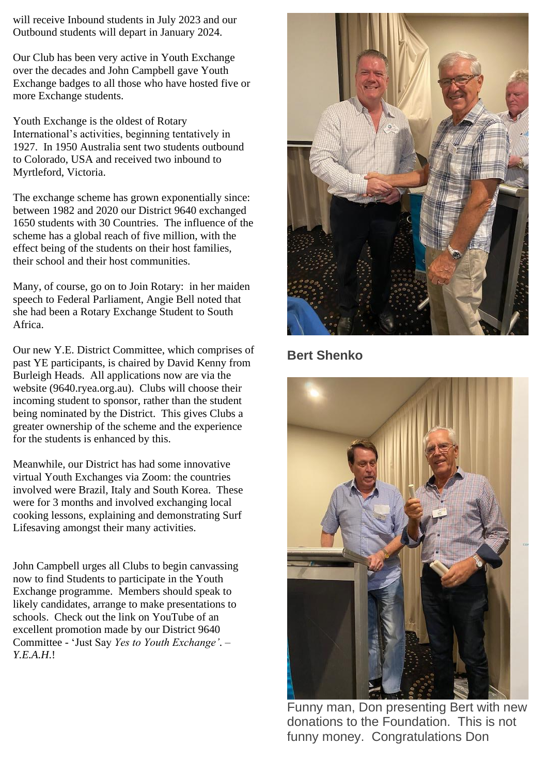will receive Inbound students in July 2023 and our Outbound students will depart in January 2024.

Our Club has been very active in Youth Exchange over the decades and John Campbell gave Youth Exchange badges to all those who have hosted five or more Exchange students.

Youth Exchange is the oldest of Rotary International's activities, beginning tentatively in 1927. In 1950 Australia sent two students outbound to Colorado, USA and received two inbound to Myrtleford, Victoria.

The exchange scheme has grown exponentially since: between 1982 and 2020 our District 9640 exchanged 1650 students with 30 Countries. The influence of the scheme has a global reach of five million, with the effect being of the students on their host families, their school and their host communities.

Many, of course, go on to Join Rotary: in her maiden speech to Federal Parliament, Angie Bell noted that she had been a Rotary Exchange Student to South Africa.

Our new Y.E. District Committee, which comprises of past YE participants, is chaired by David Kenny from Burleigh Heads. All applications now are via the website (9640.ryea.org.au). Clubs will choose their incoming student to sponsor, rather than the student being nominated by the District. This gives Clubs a greater ownership of the scheme and the experience for the students is enhanced by this.

Meanwhile, our District has had some innovative virtual Youth Exchanges via Zoom: the countries involved were Brazil, Italy and South Korea. These were for 3 months and involved exchanging local cooking lessons, explaining and demonstrating Surf Lifesaving amongst their many activities.

John Campbell urges all Clubs to begin canvassing now to find Students to participate in the Youth Exchange programme. Members should speak to likely candidates, arrange to make presentations to schools. Check out the link on YouTube of an excellent promotion made by our District 9640 Committee - 'Just Say *Yes to Youth Exchange'*. – *Y.E.A.H*.!



#### **Bert Shenko**



Funny man, Don presenting Bert with new donations to the Foundation. This is not funny money. Congratulations Don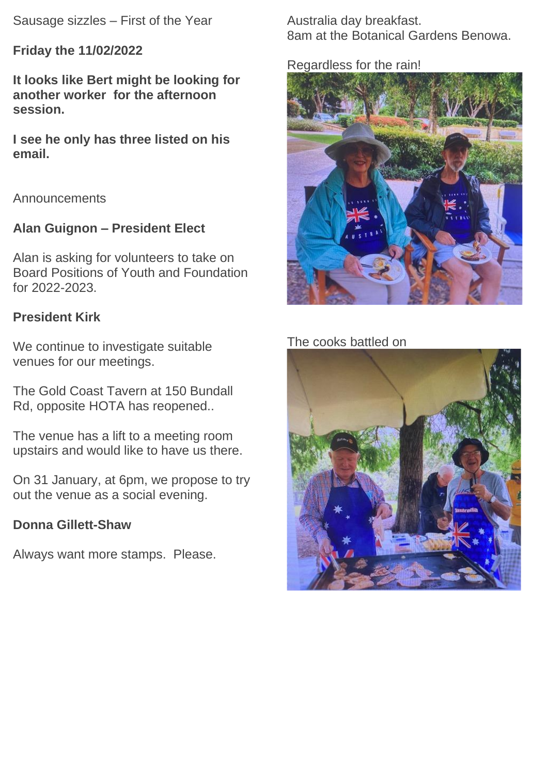Sausage sizzles – First of the Year

**Friday the 11/02/2022**

**It looks like Bert might be looking for another worker for the afternoon session.**

**I see he only has three listed on his email.**

Announcements

### **Alan Guignon – President Elect**

Alan is asking for volunteers to take on Board Positions of Youth and Foundation for 2022-2023.

### **President Kirk**

We continue to investigate suitable venues for our meetings.

The Gold Coast Tavern at 150 Bundall Rd, opposite HOTA has reopened..

The venue has a lift to a meeting room upstairs and would like to have us there.

On 31 January, at 6pm, we propose to try out the venue as a social evening.

### **Donna Gillett-Shaw**

Always want more stamps. Please.

Australia day breakfast. 8am at the Botanical Gardens Benowa.

#### Regardless for the rain!



### The cooks battled on

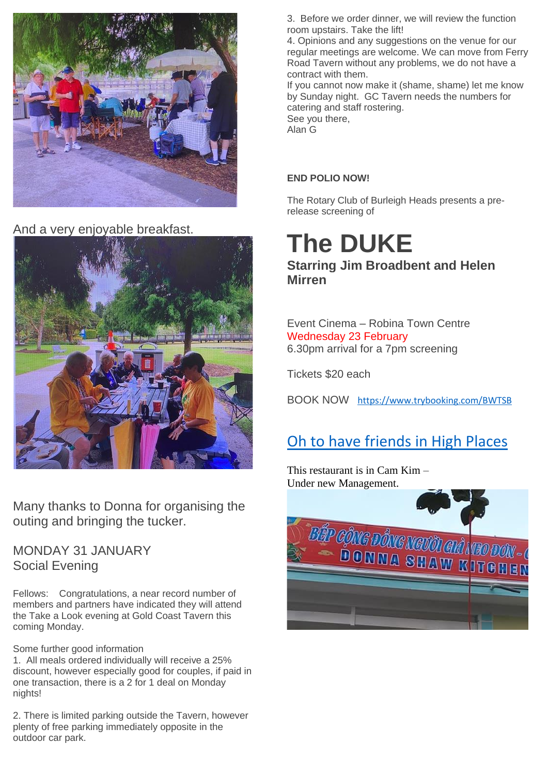

And a very enjoyable breakfast.



Many thanks to Donna for organising the outing and bringing the tucker.

MONDAY 31 JANUARY Social Evening

Fellows: Congratulations, a near record number of members and partners have indicated they will attend the Take a Look evening at Gold Coast Tavern this coming Monday.

Some further good information

1. All meals ordered individually will receive a 25% discount, however especially good for couples, if paid in one transaction, there is a 2 for 1 deal on Monday nights!

2. There is limited parking outside the Tavern, however plenty of free parking immediately opposite in the outdoor car park.

3. Before we order dinner, we will review the function room upstairs. Take the lift!

4. Opinions and any suggestions on the venue for our regular meetings are welcome. We can move from Ferry Road Tavern without any problems, we do not have a contract with them.

If you cannot now make it (shame, shame) let me know by Sunday night. GC Tavern needs the numbers for catering and staff rostering. See you there, Alan G

#### **END POLIO NOW!**

The Rotary Club of Burleigh Heads presents a prerelease screening of

## **The DUKE Starring Jim Broadbent and Helen Mirren**

Event Cinema – Robina Town Centre Wednesday 23 February 6.30pm arrival for a 7pm screening

Tickets \$20 each

BOOK NOW <https://www.trybooking.com/BWTSB>

## Oh to have friends in High Places

This restaurant is in Cam Kim – Under new Management.